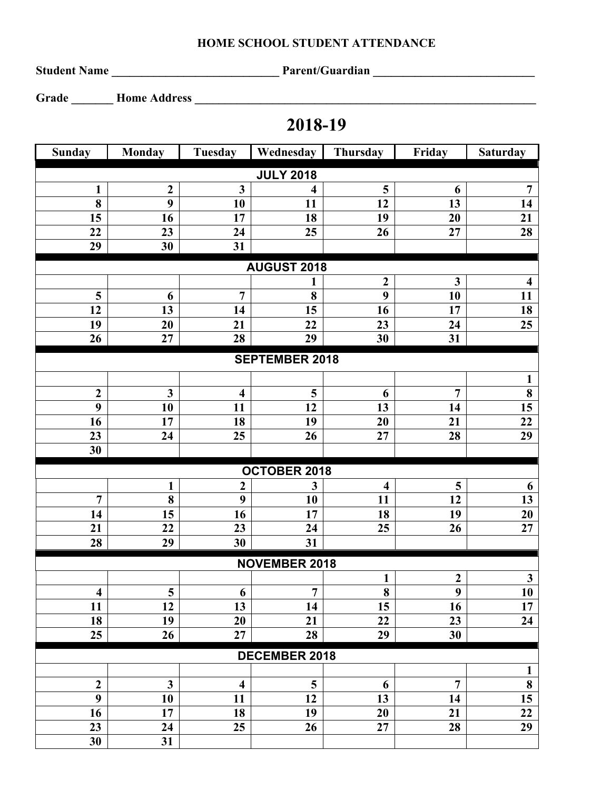## **HOME SCHOOL STUDENT ATTENDANCE**

**Student Name \_\_\_\_\_\_\_\_\_\_\_\_\_\_\_\_\_\_\_\_\_\_\_\_\_\_\_\_ Parent/Guardian \_\_\_\_\_\_\_\_\_\_\_\_\_\_\_\_\_\_\_\_\_\_\_\_\_\_\_**

**Grade \_\_\_\_\_\_\_ Home Address \_\_\_\_\_\_\_\_\_\_\_\_\_\_\_\_\_\_\_\_\_\_\_\_\_\_\_\_\_\_\_\_\_\_\_\_\_\_\_\_\_\_\_\_\_\_\_\_\_\_\_\_\_\_\_\_\_**

## **2018-19**

| <b>Sunday</b>           | <b>Monday</b>  | Tuesday                 | Wednesday               | Thursday                | Friday                  | <b>Saturday</b>         |  |  |  |  |  |
|-------------------------|----------------|-------------------------|-------------------------|-------------------------|-------------------------|-------------------------|--|--|--|--|--|
| <b>JULY 2018</b>        |                |                         |                         |                         |                         |                         |  |  |  |  |  |
| $\mathbf{1}$            | $\overline{2}$ | $\overline{\mathbf{3}}$ | $\overline{\mathbf{4}}$ | 5                       | 6                       | $\overline{7}$          |  |  |  |  |  |
| 8                       | 9              | 10                      | 11                      | 12                      | 13                      | 14                      |  |  |  |  |  |
| 15                      | 16             | 17                      | 18                      | 19                      | 20                      | 21                      |  |  |  |  |  |
| 22                      | 23             | 24                      | 25                      | 26                      | 27                      | 28                      |  |  |  |  |  |
| 29                      | 30             | 31                      |                         |                         |                         |                         |  |  |  |  |  |
| <b>AUGUST 2018</b>      |                |                         |                         |                         |                         |                         |  |  |  |  |  |
|                         |                |                         |                         | $\boldsymbol{2}$        | $\mathbf{3}$            | $\overline{\mathbf{4}}$ |  |  |  |  |  |
| 5                       | 6              | $\overline{7}$          | 8                       | 9                       | 10                      | 11                      |  |  |  |  |  |
| 12                      | 13             | 14                      | 15                      | 16                      | 17                      | 18                      |  |  |  |  |  |
| 19                      | 20             | 21                      | 22                      | 23                      | 24                      | 25                      |  |  |  |  |  |
| 26                      | 27             | 28                      | 29                      | 30                      | 31                      |                         |  |  |  |  |  |
| <b>SEPTEMBER 2018</b>   |                |                         |                         |                         |                         |                         |  |  |  |  |  |
|                         |                |                         |                         |                         |                         | 1                       |  |  |  |  |  |
| $\boldsymbol{2}$        | $\mathbf{3}$   | $\overline{\mathbf{4}}$ | 5                       | 6                       | $\overline{7}$          | $\bf{8}$                |  |  |  |  |  |
| 9                       | 10             | 11                      | 12                      | 13                      | 14                      | 15                      |  |  |  |  |  |
| 16                      | 17             | 18                      | 19                      | 20                      | 21                      | 22                      |  |  |  |  |  |
| 23                      | 24             | 25                      | 26                      | 27                      | 28                      | 29                      |  |  |  |  |  |
| 30                      |                |                         |                         |                         |                         |                         |  |  |  |  |  |
| OCTOBER 2018            |                |                         |                         |                         |                         |                         |  |  |  |  |  |
|                         | 1              | $\boldsymbol{2}$        | 3                       | $\overline{\mathbf{4}}$ | $\overline{\mathbf{5}}$ | 6                       |  |  |  |  |  |
| $\overline{7}$          | 8              | 9                       | 10                      | 11                      | 12                      | $\overline{13}$         |  |  |  |  |  |
| 14                      | 15             | 16                      | 17                      | 18                      | 19                      | 20                      |  |  |  |  |  |
| 21                      | 22             | 23                      | 24                      | 25                      | 26                      | 27                      |  |  |  |  |  |
| 28                      | 29             | 30                      | 31                      |                         |                         |                         |  |  |  |  |  |
| <b>NOVEMBER 2018</b>    |                |                         |                         |                         |                         |                         |  |  |  |  |  |
|                         |                |                         |                         | $\mathbf{1}$            | $\boldsymbol{2}$        | $\mathbf{3}$            |  |  |  |  |  |
| $\overline{\mathbf{4}}$ | 5 <sub>5</sub> | 6                       | $\overline{7}$          | $\overline{\mathbf{8}}$ | $\overline{9}$          | 10                      |  |  |  |  |  |
| 11                      | 12             | 13                      | 14                      | 15                      | 16                      | 17                      |  |  |  |  |  |
| 18                      | 19             | 20                      | 21                      | 22                      | 23                      | 24                      |  |  |  |  |  |
| 25                      | 26             | 27                      | 28                      | 29                      | 30                      |                         |  |  |  |  |  |
| <b>DECEMBER 2018</b>    |                |                         |                         |                         |                         |                         |  |  |  |  |  |
|                         |                |                         |                         |                         |                         | $\mathbf{1}$            |  |  |  |  |  |
| $\boldsymbol{2}$        | $\mathbf{3}$   | $\overline{\mathbf{4}}$ | 5                       | 6                       | $\overline{7}$          | $\bf{8}$                |  |  |  |  |  |
| 9                       | 10             | 11                      | 12                      | 13                      | 14                      | 15                      |  |  |  |  |  |
| 16                      | 17             | 18                      | 19                      | 20                      | 21                      | 22                      |  |  |  |  |  |
| 23                      | 24             | 25                      | 26                      | 27                      | 28                      | 29                      |  |  |  |  |  |
| 30                      | 31             |                         |                         |                         |                         |                         |  |  |  |  |  |